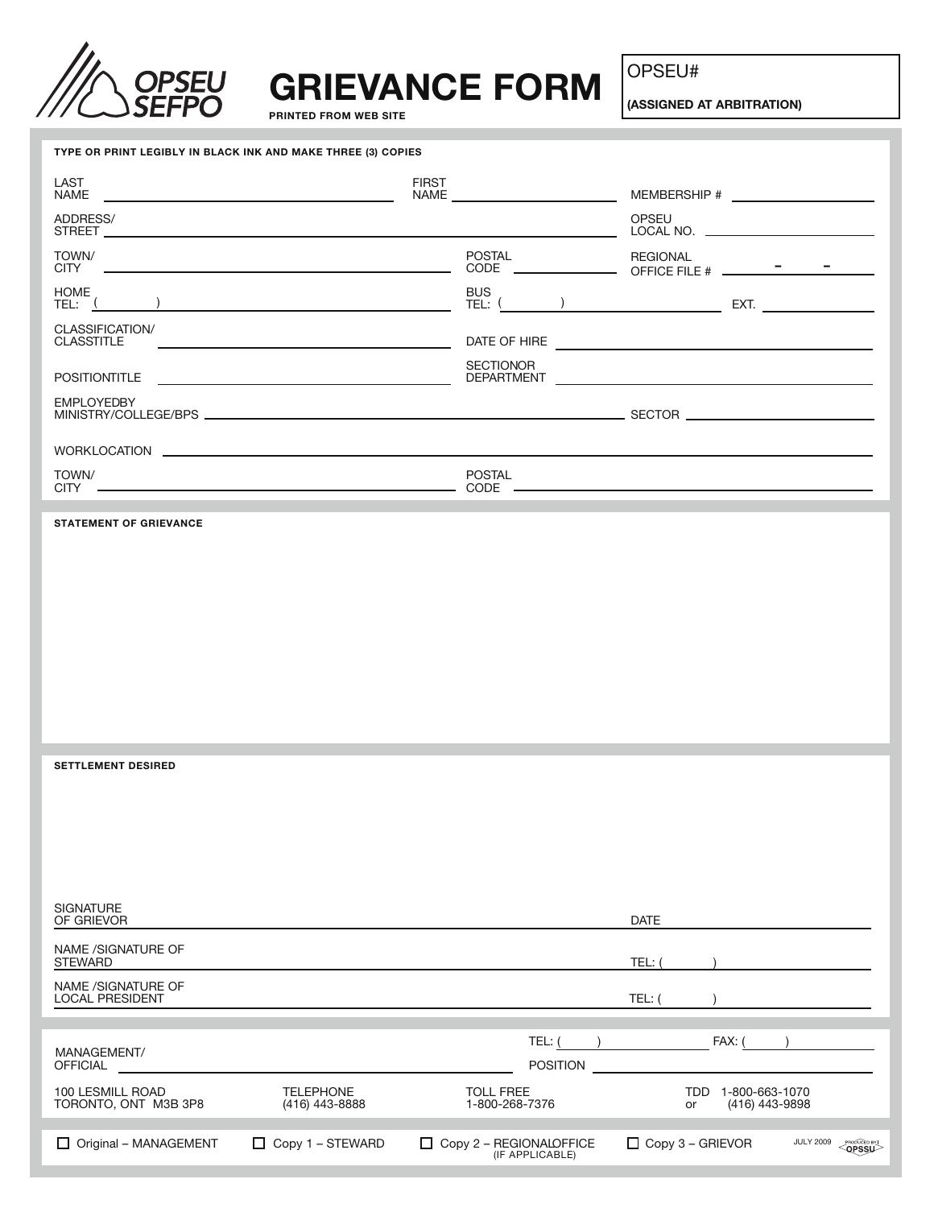

## **GRIEVANCE FORM**

**PRINTED FROM WEB SITE**

OPSEU#

**(ASSIGNED AT ARBITRATION)**

| TYPE OR PRINT LEGIBLY IN BLACK INK AND MAKE THREE (3) COPIES |                                                                                                                       |                                            |                                              |                                                                                                                      |                                      |                                                                                                                      |
|--------------------------------------------------------------|-----------------------------------------------------------------------------------------------------------------------|--------------------------------------------|----------------------------------------------|----------------------------------------------------------------------------------------------------------------------|--------------------------------------|----------------------------------------------------------------------------------------------------------------------|
| LAST<br>NAME                                                 | the control of the control of the control of the control of the control of the control of                             | <b>FIRST</b>                               |                                              |                                                                                                                      |                                      |                                                                                                                      |
| ADDRESS/                                                     |                                                                                                                       |                                            |                                              | OPSEU                                                                                                                |                                      |                                                                                                                      |
| TOWN/<br><b>CITY</b>                                         |                                                                                                                       | POSTAL                                     | <u> The Common State Common State Common</u> | <b>REGIONAL</b>                                                                                                      |                                      |                                                                                                                      |
| HOME<br>TEL: (                                               |                                                                                                                       | <b>BUS</b><br>TEL: <sup>(</sup>            |                                              | <u> 1999 - Jan Stein Stein Stein Stein Stein Stein Stein Stein Stein Stein Stein Stein Stein Stein Stein Stein S</u> |                                      | EXT. $\qquad \qquad \qquad$                                                                                          |
| CLASSIFICATION/<br><b>CLASSTITLE</b>                         | <u> 1989 - Johann Harry Harry Harry Harry Harry Harry Harry Harry Harry Harry Harry Harry Harry Harry Harry Harry</u> |                                            |                                              |                                                                                                                      |                                      |                                                                                                                      |
| POSITIONTITLE                                                | <u> 1989 - Johann Barbara, martxa alemaniar arg</u>                                                                   | <b>SECTIONOR</b><br>DEPARTMENT             |                                              |                                                                                                                      |                                      | <u> 1989 - Johann Stein, marwolaethau a bhann an t-Amhair ann an t-Amhair an t-Amhair an t-Amhair an t-Amhair an</u> |
| <b>EMPLOYEDBY</b>                                            |                                                                                                                       |                                            |                                              |                                                                                                                      |                                      |                                                                                                                      |
|                                                              |                                                                                                                       |                                            |                                              |                                                                                                                      |                                      |                                                                                                                      |
| TOWN/<br>CITY _                                              |                                                                                                                       | POSTAL                                     |                                              |                                                                                                                      |                                      |                                                                                                                      |
| <b>STATEMENT OF GRIEVANCE</b>                                |                                                                                                                       |                                            |                                              |                                                                                                                      |                                      |                                                                                                                      |
|                                                              |                                                                                                                       |                                            |                                              |                                                                                                                      |                                      |                                                                                                                      |
|                                                              |                                                                                                                       |                                            |                                              |                                                                                                                      |                                      |                                                                                                                      |
|                                                              |                                                                                                                       |                                            |                                              |                                                                                                                      |                                      |                                                                                                                      |
|                                                              |                                                                                                                       |                                            |                                              |                                                                                                                      |                                      |                                                                                                                      |
|                                                              |                                                                                                                       |                                            |                                              |                                                                                                                      |                                      |                                                                                                                      |
|                                                              |                                                                                                                       |                                            |                                              |                                                                                                                      |                                      |                                                                                                                      |
| <b>SETTLEMENT DESIRED</b>                                    |                                                                                                                       |                                            |                                              |                                                                                                                      |                                      |                                                                                                                      |
|                                                              |                                                                                                                       |                                            |                                              |                                                                                                                      |                                      |                                                                                                                      |
|                                                              |                                                                                                                       |                                            |                                              |                                                                                                                      |                                      |                                                                                                                      |
|                                                              |                                                                                                                       |                                            |                                              |                                                                                                                      |                                      |                                                                                                                      |
| <b>SIGNATURE</b>                                             |                                                                                                                       |                                            |                                              |                                                                                                                      |                                      |                                                                                                                      |
| OF GRIEVOR                                                   |                                                                                                                       |                                            |                                              | <b>DATE</b>                                                                                                          |                                      |                                                                                                                      |
| NAME /SIGNATURE OF<br><b>STEWARD</b>                         |                                                                                                                       |                                            |                                              | TEL:                                                                                                                 |                                      |                                                                                                                      |
| NAME /SIGNATURE OF<br><b>LOCAL PRESIDENT</b>                 |                                                                                                                       |                                            |                                              | TEL: (                                                                                                               |                                      |                                                                                                                      |
|                                                              |                                                                                                                       | TEL: (                                     |                                              |                                                                                                                      | FAX: (                               |                                                                                                                      |
| MANAGEMENT/<br><b>OFFICIAL</b>                               |                                                                                                                       |                                            | <b>POSITION</b>                              |                                                                                                                      |                                      |                                                                                                                      |
| 100 LESMILL ROAD<br>TORONTO, ONT M3B 3P8                     | <b>TELEPHONE</b><br>(416) 443-8888                                                                                    | <b>TOLL FREE</b><br>1-800-268-7376         |                                              | or                                                                                                                   | TDD 1-800-663-1070<br>(416) 443-9898 |                                                                                                                      |
| Original - MANAGEMENT                                        | $\Box$ Copy 1 – STEWARD                                                                                               | Copy 2 - REGIONALOFFICE<br>(IF APPLICABLE) |                                              | $\Box$ Copy 3 – GRIEVOR                                                                                              |                                      | <b>JULY 2009</b><br><b>OPSSU</b>                                                                                     |